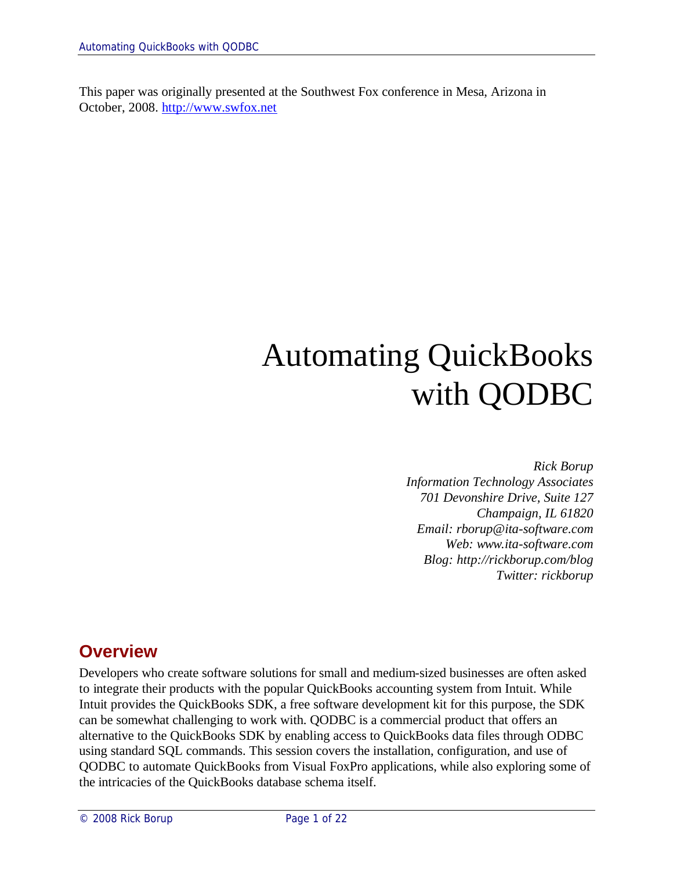This paper was originally presented at the Southwest Fox conference in Mesa, Arizona in October, 2008. http://www.swfox.net

# Automating QuickBooks with QODBC

*Rick Borup Information Technology Associates 701 Devonshire Drive, Suite 127 Champaign, IL 61820 Email: rborup@ita-software.com Web: www.ita-software.com Blog: http://rickborup.com/blog Twitter: rickborup*

## **Overview**

Developers who create software solutions for small and medium-sized businesses are often asked to integrate their products with the popular QuickBooks accounting system from Intuit. While Intuit provides the QuickBooks SDK, a free software development kit for this purpose, the SDK can be somewhat challenging to work with. QODBC is a commercial product that offers an alternative to the QuickBooks SDK by enabling access to QuickBooks data files through ODBC using standard SQL commands. This session covers the installation, configuration, and use of QODBC to automate QuickBooks from Visual FoxPro applications, while also exploring some of the intricacies of the QuickBooks database schema itself.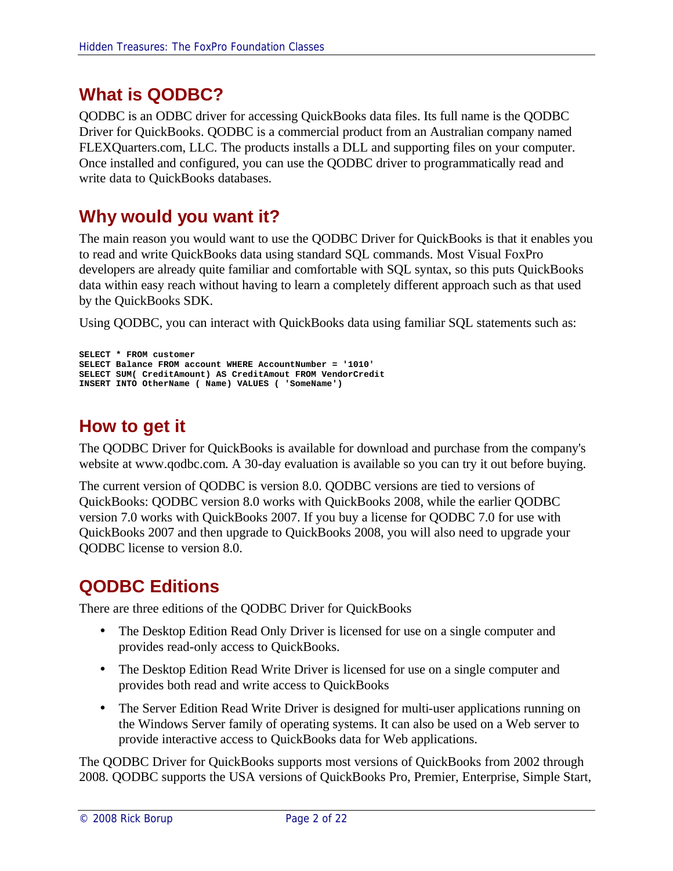# **What is QODBC?**

QODBC is an ODBC driver for accessing QuickBooks data files. Its full name is the QODBC Driver for QuickBooks. QODBC is a commercial product from an Australian company named FLEXQuarters.com, LLC. The products installs a DLL and supporting files on your computer. Once installed and configured, you can use the QODBC driver to programmatically read and write data to QuickBooks databases.

## **Why would you want it?**

The main reason you would want to use the QODBC Driver for QuickBooks is that it enables you to read and write QuickBooks data using standard SQL commands. Most Visual FoxPro developers are already quite familiar and comfortable with SQL syntax, so this puts QuickBooks data within easy reach without having to learn a completely different approach such as that used by the QuickBooks SDK.

Using QODBC, you can interact with QuickBooks data using familiar SQL statements such as:

```
SELECT * FROM customer
SELECT Balance FROM account WHERE AccountNumber = '1010'
SELECT SUM( CreditAmount) AS CreditAmout FROM VendorCredit
INSERT INTO OtherName ( Name) VALUES ( 'SomeName')
```
# **How to get it**

The QODBC Driver for QuickBooks is available for download and purchase from the company's website at www.qodbc.com. A 30-day evaluation is available so you can try it out before buying.

The current version of QODBC is version 8.0. QODBC versions are tied to versions of QuickBooks: QODBC version 8.0 works with QuickBooks 2008, while the earlier QODBC version 7.0 works with QuickBooks 2007. If you buy a license for QODBC 7.0 for use with QuickBooks 2007 and then upgrade to QuickBooks 2008, you will also need to upgrade your QODBC license to version 8.0.

# **QODBC Editions**

There are three editions of the QODBC Driver for QuickBooks

- The Desktop Edition Read Only Driver is licensed for use on a single computer and provides read-only access to QuickBooks.
- The Desktop Edition Read Write Driver is licensed for use on a single computer and provides both read and write access to QuickBooks
- The Server Edition Read Write Driver is designed for multi-user applications running on the Windows Server family of operating systems. It can also be used on a Web server to provide interactive access to QuickBooks data for Web applications.

The QODBC Driver for QuickBooks supports most versions of QuickBooks from 2002 through 2008. QODBC supports the USA versions of QuickBooks Pro, Premier, Enterprise, Simple Start,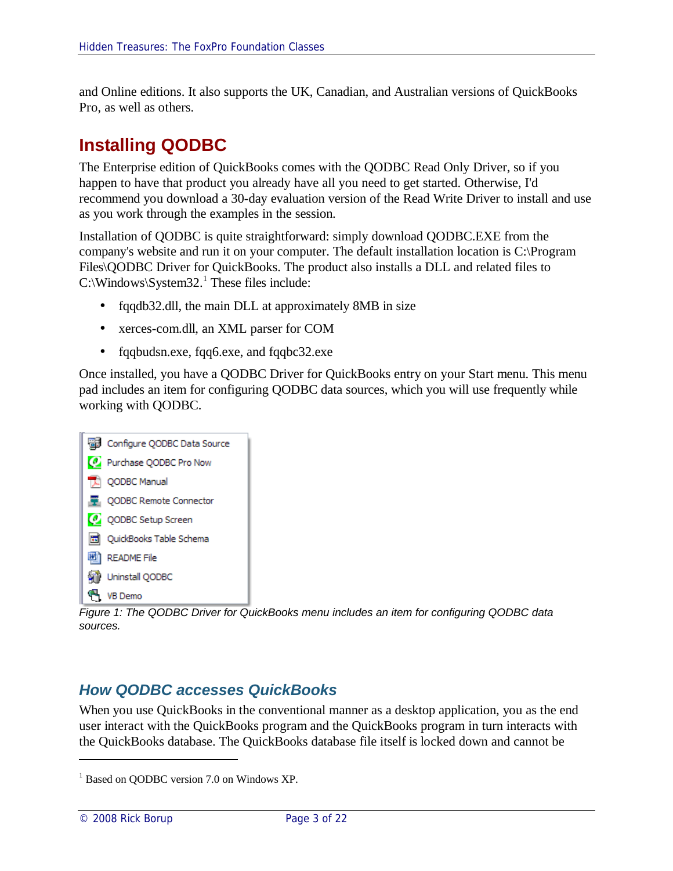and Online editions. It also supports the UK, Canadian, and Australian versions of QuickBooks Pro, as well as others.

# **Installing QODBC**

The Enterprise edition of QuickBooks comes with the QODBC Read Only Driver, so if you happen to have that product you already have all you need to get started. Otherwise, I'd recommend you download a 30-day evaluation version of the Read Write Driver to install and use as you work through the examples in the session.

Installation of QODBC is quite straightforward: simply download QODBC.EXE from the company's website and run it on your computer. The default installation location is C:\Program Files\QODBC Driver for QuickBooks. The product also installs a DLL and related files to  $C:\W{indows}\S{ystem32.1}$  These files include:

- fqqdb32.dll, the main DLL at approximately 8MB in size
- xerces-com.dll, an XML parser for COM
- fqqbudsn.exe, fqq6.exe, and fqqbc32.exe

Once installed, you have a QODBC Driver for QuickBooks entry on your Start menu. This menu pad includes an item for configuring QODBC data sources, which you will use frequently while working with QODBC.



*Figure 1: The QODBC Driver for QuickBooks menu includes an item for configuring QODBC data sources.*

## *How QODBC accesses QuickBooks*

When you use QuickBooks in the conventional manner as a desktop application, you as the end user interact with the QuickBooks program and the QuickBooks program in turn interacts with the QuickBooks database. The QuickBooks database file itself is locked down and cannot be

<sup>&</sup>lt;sup>1</sup> Based on QODBC version 7.0 on Windows XP.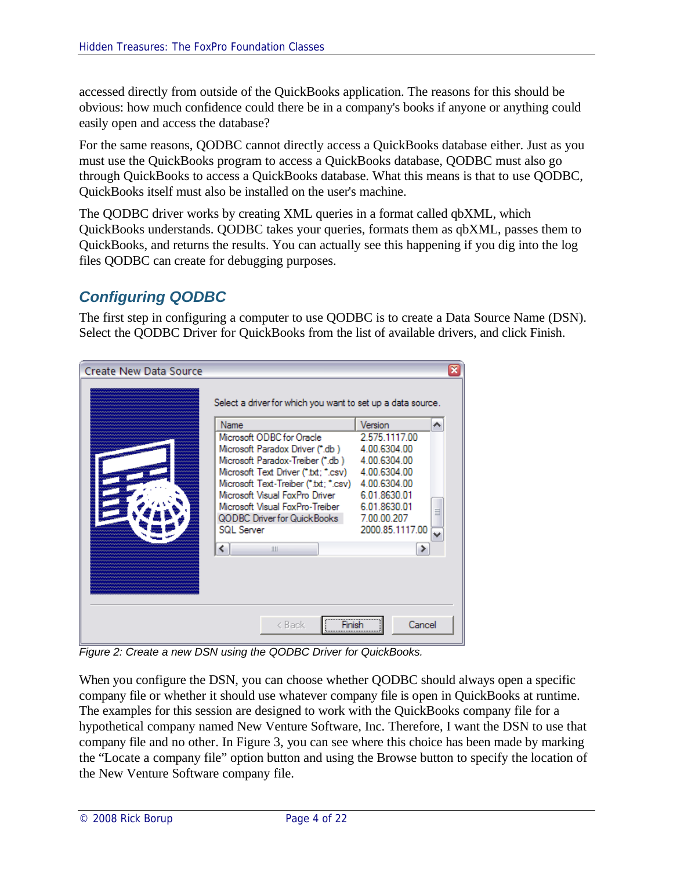accessed directly from outside of the QuickBooks application. The reasons for this should be obvious: how much confidence could there be in a company's books if anyone or anything could easily open and access the database?

For the same reasons, QODBC cannot directly access a QuickBooks database either. Just as you must use the QuickBooks program to access a QuickBooks database, QODBC must also go through QuickBooks to access a QuickBooks database. What this means is that to use QODBC, QuickBooks itself must also be installed on the user's machine.

The QODBC driver works by creating XML queries in a format called qbXML, which QuickBooks understands. QODBC takes your queries, formats them as qbXML, passes them to QuickBooks, and returns the results. You can actually see this happening if you dig into the log files QODBC can create for debugging purposes.

## *Configuring QODBC*

The first step in configuring a computer to use QODBC is to create a Data Source Name (DSN). Select the QODBC Driver for QuickBooks from the list of available drivers, and click Finish.

| <b>Create New Data Source</b> | Select a driver for which you want to set up a data source.<br>Name<br>Microsoft ODBC for Oracle<br>Microsoft Paradox Driver (*.db)<br>Microsoft Paradox-Treiber (*.db )<br>Microsoft Text Driver (*.bd; *.csv)<br>Microsoft Text-Treiber (".txt; ".csv)<br>Microsoft Visual FoxPro Driver<br>Microsoft Visual FoxPro-Treiber<br>QODBC Driver for QuickBooks<br><b>SQL Server</b><br>$\left\langle \right\rangle$<br>IIII | Version<br>∧<br>2.575.1117.00<br>4.00.6304.00<br>4.00.6304.00<br>4.00.6304.00<br>4.00.6304.00<br>6.01.8630.01<br>6.01.8630.01<br>7.00.00.207<br>2000.85.1117.00<br>⋗ | × |
|-------------------------------|---------------------------------------------------------------------------------------------------------------------------------------------------------------------------------------------------------------------------------------------------------------------------------------------------------------------------------------------------------------------------------------------------------------------------|----------------------------------------------------------------------------------------------------------------------------------------------------------------------|---|
|                               | ≺ Back                                                                                                                                                                                                                                                                                                                                                                                                                    | Cancel                                                                                                                                                               |   |

*Figure 2: Create a new DSN using the QODBC Driver for QuickBooks.*

When you configure the DSN, you can choose whether QODBC should always open a specific company file or whether it should use whatever company file is open in QuickBooks at runtime. The examples for this session are designed to work with the QuickBooks company file for a hypothetical company named New Venture Software, Inc. Therefore, I want the DSN to use that company file and no other. In Figure 3, you can see where this choice has been made by marking the "Locate a company file" option button and using the Browse button to specify the location of the New Venture Software company file.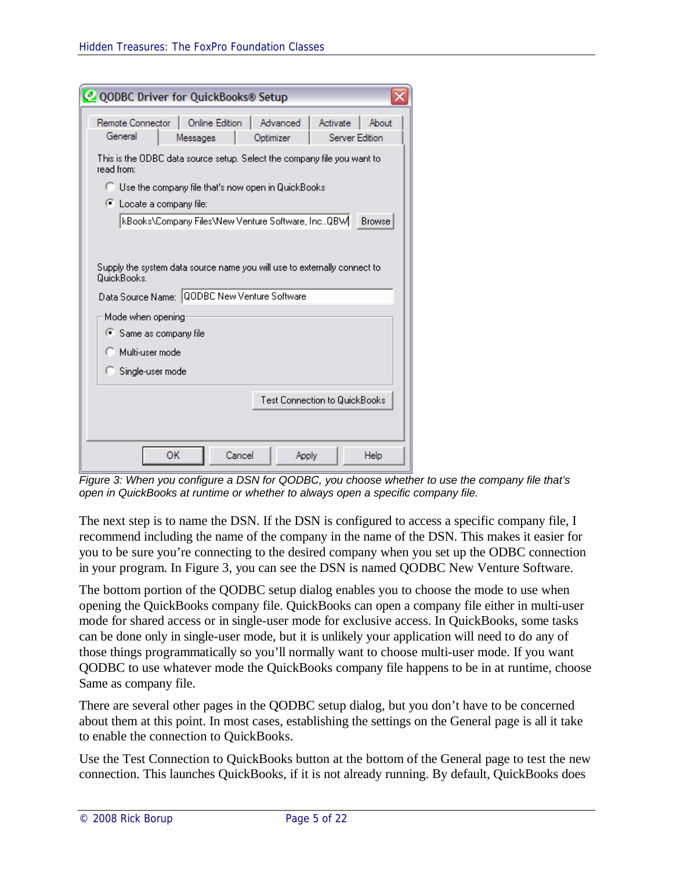| <b>O QODBC Driver for QuickBooks® Setup</b>                                                                                             |  |  |  |  |  |
|-----------------------------------------------------------------------------------------------------------------------------------------|--|--|--|--|--|
| Remote Connector<br><b>Online Edition</b><br>Advanced<br>Activate<br>About<br>General<br>Server Edition<br>Messages<br>Optimizer        |  |  |  |  |  |
| This is the ODBC data source setup. Select the company file you want to<br>read from:                                                   |  |  |  |  |  |
| $\Box$ Use the company file that's now open in QuickBooks                                                                               |  |  |  |  |  |
| C Locate a company file:                                                                                                                |  |  |  |  |  |
| kBooks\Company Files\New Venture Software, IncQBW  <br><b>Browse</b>                                                                    |  |  |  |  |  |
|                                                                                                                                         |  |  |  |  |  |
| Supply the system data source name you will use to externally connect to<br>QuickBooks.<br>Data Source Name: QODBC New Venture Software |  |  |  |  |  |
| Mode when opening                                                                                                                       |  |  |  |  |  |
| ● Same as company file                                                                                                                  |  |  |  |  |  |
| C Multi-user mode                                                                                                                       |  |  |  |  |  |
| Single-user mode                                                                                                                        |  |  |  |  |  |
| Test Connection to QuickBooks                                                                                                           |  |  |  |  |  |
| OK<br>Cancel<br>Help<br>Apply                                                                                                           |  |  |  |  |  |

*Figure 3: When you configure a DSN for QODBC, you choose whether to use the company file that's open in QuickBooks at runtime or whether to always open a specific company file.*

The next step is to name the DSN. If the DSN is configured to access a specific company file, I recommend including the name of the company in the name of the DSN. This makes it easier for you to be sure you're connecting to the desired company when you set up the ODBC connection in your program. In Figure 3, you can see the DSN is named QODBC New Venture Software.

The bottom portion of the QODBC setup dialog enables you to choose the mode to use when opening the QuickBooks company file. QuickBooks can open a company file either in multi-user mode for shared access or in single-user mode for exclusive access. In QuickBooks, some tasks can be done only in single-user mode, but it is unlikely your application will need to do any of those things programmatically so you'll normally want to choose multi-user mode. If you want QODBC to use whatever mode the QuickBooks company file happens to be in at runtime, choose Same as company file.

There are several other pages in the QODBC setup dialog, but you don't have to be concerned about them at this point. In most cases, establishing the settings on the General page is all it take to enable the connection to QuickBooks.

Use the Test Connection to QuickBooks button at the bottom of the General page to test the new connection. This launches QuickBooks, if it is not already running. By default, QuickBooks does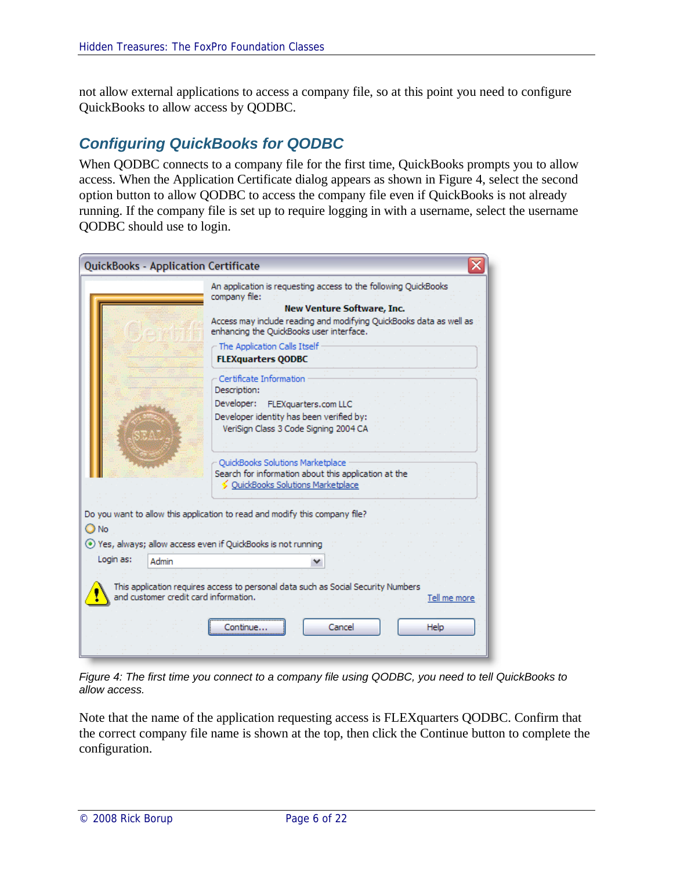not allow external applications to access a company file, so at this point you need to configure QuickBooks to allow access by QODBC.

## *Configuring QuickBooks for QODBC*

When QODBC connects to a company file for the first time, QuickBooks prompts you to allow access. When the Application Certificate dialog appears as shown in Figure 4, select the second option button to allow QODBC to access the company file even if QuickBooks is not already running. If the company file is set up to require logging in with a username, select the username QODBC should use to login.

|           | <b>QuickBooks - Application Certificate</b>                                                                                                                                                                                                                                                                                                                                         |
|-----------|-------------------------------------------------------------------------------------------------------------------------------------------------------------------------------------------------------------------------------------------------------------------------------------------------------------------------------------------------------------------------------------|
|           | An application is requesting access to the following QuickBooks<br>company file:<br><b>New Venture Software, Inc.</b><br>Access may include reading and modifying QuickBooks data as well as<br>enhancing the QuickBooks user interface.<br>The Application Calls Itself<br><b>FLEXquarters QODBC</b>                                                                               |
|           | Certificate Information<br>Description:<br>Dévelopér:<br>FLEXquarters.com LLC<br>Developer identity has been verified by:<br>VeriSign Class 3 Code Signing 2004 CA<br>QuickBooks Solutions Marketplace<br>Search for information about this application at the<br>← QuickBooks Solutions Marketplace<br>Do you want to allow this application to read and modify this company file? |
| O No      |                                                                                                                                                                                                                                                                                                                                                                                     |
|           | ⊙ Yes, always; allow access even if QuickBooks is not running                                                                                                                                                                                                                                                                                                                       |
| Login as: | Admin                                                                                                                                                                                                                                                                                                                                                                               |
|           | This application requires access to personal data such as Social Security Numbers<br>and customer credit card information.<br>Tell me more                                                                                                                                                                                                                                          |
|           | Cancel<br>Help<br>lontinue                                                                                                                                                                                                                                                                                                                                                          |
|           |                                                                                                                                                                                                                                                                                                                                                                                     |

*Figure 4: The first time you connect to a company file using QODBC, you need to tell QuickBooks to allow access.*

Note that the name of the application requesting access is FLEXquarters QODBC. Confirm that the correct company file name is shown at the top, then click the Continue button to complete the configuration.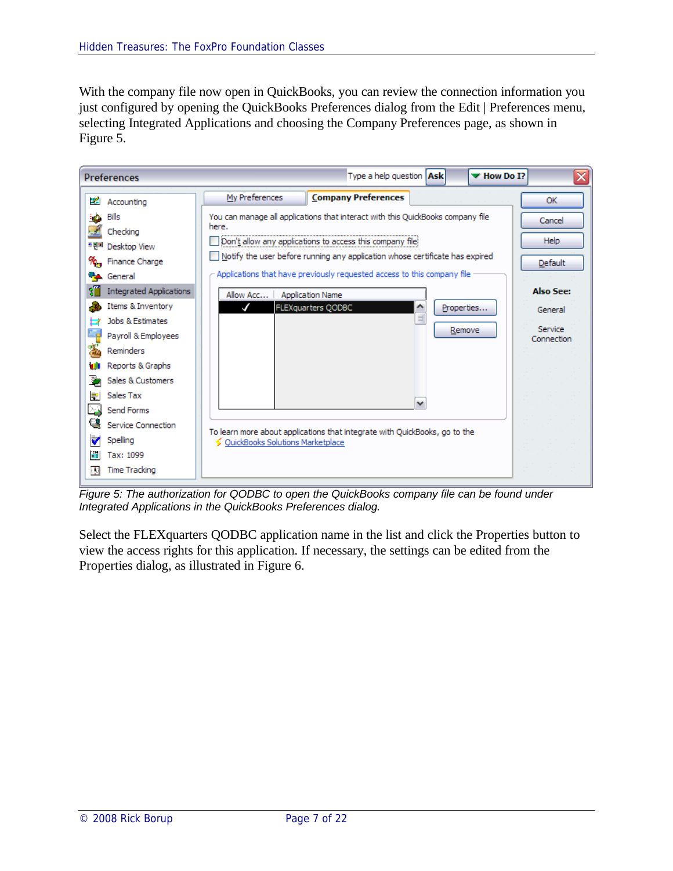With the company file now open in QuickBooks, you can review the connection information you just configured by opening the QuickBooks Preferences dialog from the Edit | Preferences menu, selecting Integrated Applications and choosing the Company Preferences page, as shown in Figure 5.

| <b>Preferences</b>                                                                                                                                                                                                          |                                    | Type a help question   Ask                                                                                                                                                                                                                                                                             | $\blacktriangledown$ How Do I? | ≅                                                    |
|-----------------------------------------------------------------------------------------------------------------------------------------------------------------------------------------------------------------------------|------------------------------------|--------------------------------------------------------------------------------------------------------------------------------------------------------------------------------------------------------------------------------------------------------------------------------------------------------|--------------------------------|------------------------------------------------------|
| 22<br>Accounting                                                                                                                                                                                                            | My Preferences                     | <b>Company Preferences</b>                                                                                                                                                                                                                                                                             |                                | <b>OK</b>                                            |
| Bills<br>Checking<br>소리제<br>Desktop View<br>Finance Charge<br>$\%$                                                                                                                                                          | here.                              | You can manage all applications that interact with this QuickBooks company file<br>Don't allow any applications to access this company file<br>Notify the user before running any application whose certificate has expired<br>Applications that have previously requested access to this company file |                                | Cancel<br>Help<br><b>Default</b>                     |
| <b>Pa</b> General<br>XŰ<br><b>Integrated Applications</b><br>Items & Inventory<br>Jobs & Estimates<br>Þ<br>۵g<br>Payroll & Employees<br>雹<br>Reminders<br>w<br>Reports & Graphs<br>Þ<br>Sales & Customers<br>분<br>Sales Tax | Allow Acc                          | <b>Application Name</b><br>۸<br>FLEXquarters QODBC<br>$\equiv$                                                                                                                                                                                                                                         | Properties<br>Remove           | <b>Also See:</b><br>General<br>Service<br>Connection |
| ضا<br>Send Forms<br>q<br>Service Connection<br>₹<br>Spelling<br><b>E</b><br>Tax: 1099<br><b>Time Tracking</b><br>围                                                                                                          | ← QuickBooks Solutions Marketplace | v<br>To learn more about applications that integrate with QuickBooks, go to the                                                                                                                                                                                                                        |                                |                                                      |

*Figure 5: The authorization for QODBC to open the QuickBooks company file can be found under Integrated Applications in the QuickBooks Preferences dialog.*

Select the FLEXquarters QODBC application name in the list and click the Properties button to view the access rights for this application. If necessary, the settings can be edited from the Properties dialog, as illustrated in Figure 6.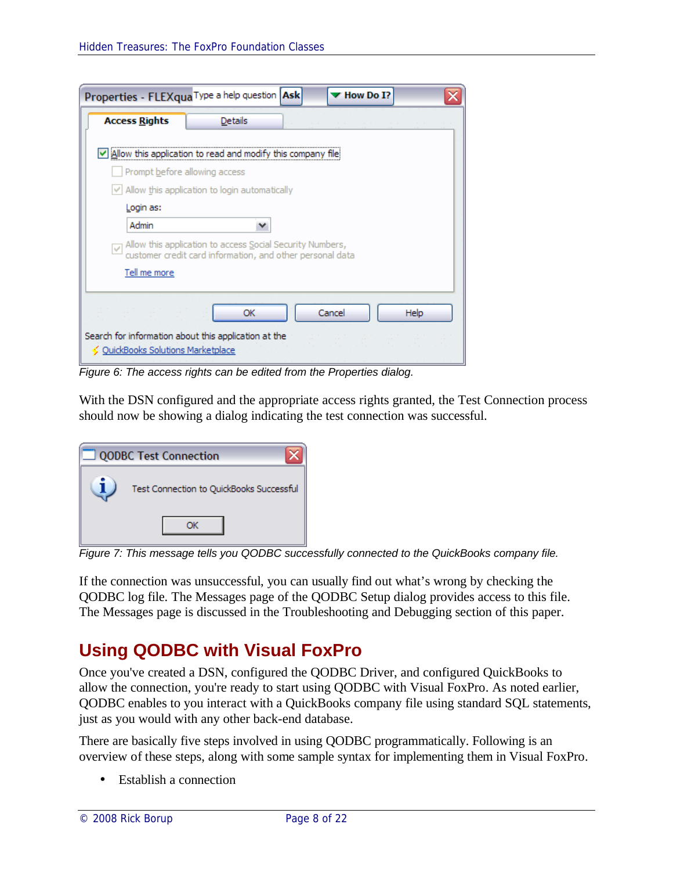| <b>Access Rights</b>          | <b>Details</b>                                                                                                                           |        |      |
|-------------------------------|------------------------------------------------------------------------------------------------------------------------------------------|--------|------|
|                               | Allow this application to read and modify this company file                                                                              |        |      |
| Prompt before allowing access |                                                                                                                                          |        |      |
|                               | $\vee$ Allow this application to login automatically                                                                                     |        |      |
| Login as:                     |                                                                                                                                          |        |      |
| Admin                         |                                                                                                                                          |        |      |
|                               | $\sqrt{\sqrt{2}}$ Allow this application to access Social Security Numbers,<br>customer credit card information, and other personal data |        |      |
| Tell me more                  |                                                                                                                                          |        |      |
|                               |                                                                                                                                          |        |      |
|                               | ОК                                                                                                                                       | Cancel | Help |

*Figure 6: The access rights can be edited from the Properties dialog.*

With the DSN configured and the appropriate access rights granted, the Test Connection process should now be showing a dialog indicating the test connection was successful.

| <b>QODBC Test Connection</b>             |  |  |  |  |  |  |
|------------------------------------------|--|--|--|--|--|--|
| Test Connection to QuickBooks Successful |  |  |  |  |  |  |
|                                          |  |  |  |  |  |  |

*Figure 7: This message tells you QODBC successfully connected to the QuickBooks company file.*

If the connection was unsuccessful, you can usually find out what's wrong by checking the QODBC log file. The Messages page of the QODBC Setup dialog provides access to this file. The Messages page is discussed in the Troubleshooting and Debugging section of this paper.

# **Using QODBC with Visual FoxPro**

Once you've created a DSN, configured the QODBC Driver, and configured QuickBooks to allow the connection, you're ready to start using QODBC with Visual FoxPro. As noted earlier, QODBC enables to you interact with a QuickBooks company file using standard SQL statements, just as you would with any other back-end database.

There are basically five steps involved in using QODBC programmatically. Following is an overview of these steps, along with some sample syntax for implementing them in Visual FoxPro.

• Establish a connection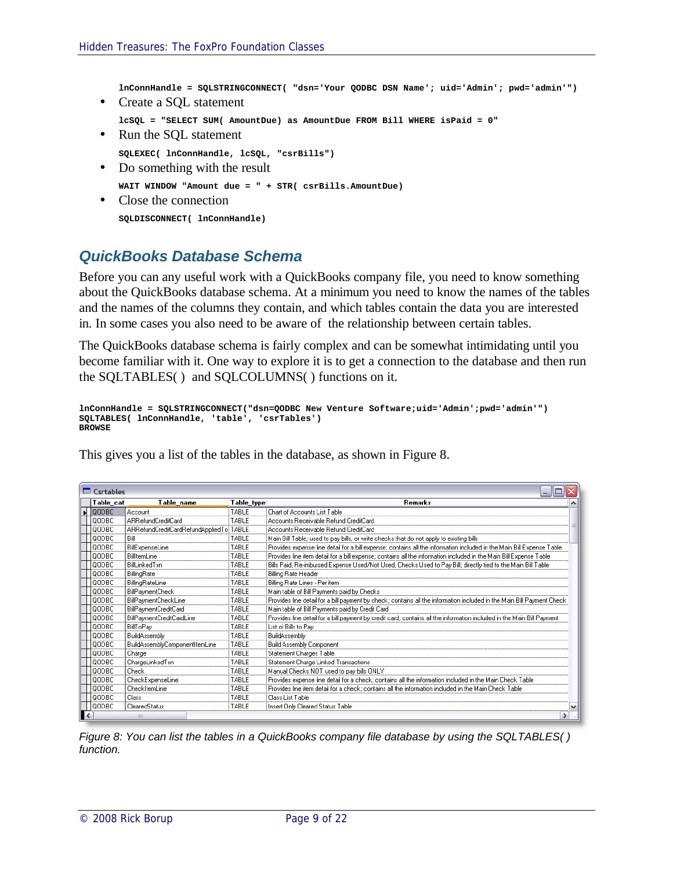**lnConnHandle = SQLSTRINGCONNECT( "dsn='Your QODBC DSN Name'; uid='Admin'; pwd='admin'")**

• Create a SOL statement

```
lcSQL = "SELECT SUM( AmountDue) as AmountDue FROM Bill WHERE isPaid = 0"
```
- Run the SQL statement **SQLEXEC( lnConnHandle, lcSQL, "csrBills")**
- Do something with the result

```
WAIT WINDOW "Amount due = " + STR( csrBills.AmountDue)
```
• Close the connection **SQLDISCONNECT( lnConnHandle)**

#### *QuickBooks Database Schema*

Before you can any useful work with a QuickBooks company file, you need to know something about the QuickBooks database schema. At a minimum you need to know the names of the tables and the names of the columns they contain, and which tables contain the data you are interested in. In some cases you also need to be aware of the relationship between certain tables.

The QuickBooks database schema is fairly complex and can be somewhat intimidating until you become familiar with it. One way to explore it is to get a connection to the database and then run the SQLTABLES( ) and SQLCOLUMNS( ) functions on it.

```
lnConnHandle = SQLSTRINGCONNECT("dsn=QODBC New Venture Software;uid='Admin';pwd='admin'")
SQLTABLES( lnConnHandle, 'table', 'csrTables')
BROWSE
```
This gives you a list of the tables in the database, as shown in Figure 8.

|    | <b>IIII</b> Csrtables<br>÷.  |                                         |              |                                                                                                                         |   |  |
|----|------------------------------|-----------------------------------------|--------------|-------------------------------------------------------------------------------------------------------------------------|---|--|
|    | Table cat                    | Table name                              | Table type!  | <b>Remarks</b>                                                                                                          |   |  |
|    | $\blacktriangleright$ 100DBC | Account                                 | TABLE        | Chart of Accounts List Table                                                                                            |   |  |
|    | loopbc:                      | ARRefundCreditCard                      | TABLE        | Accounts Receivable Refund CreditCard                                                                                   |   |  |
|    | <b>QODBC</b>                 | ARRefundCreditCardRefundAppliedTo:TABLE |              | Accounts Receivable Refund CreditCard                                                                                   |   |  |
|    | loodbc                       | Bill                                    | <b>TABLE</b> | Main Bill Table; used to pay bills, or write checks that do not apply to existing bills                                 |   |  |
|    | QODBC                        | BillExpenseLine                         | TABLE        | Provides expense line detail for a bill expense; contains all the information included in the Main Bill Expense Table   |   |  |
|    | laadbc.                      | BilltemLine                             | TABLE        | Provides line item detail for a bill expense; contains all the information included in the Main Bill Expense Table      |   |  |
|    | <b>QODBC</b>                 | BillLinkedTxn                           | TABLE        | Bills Paid, Re-imbursed Expense Used/Not Used, Checks Used to Pay Bill; directly tied to the Main Bill Table            |   |  |
|    | <b>QODBC</b>                 | BillingRate                             | TABLE        | <b>Billing Rate Header</b>                                                                                              |   |  |
|    | QODBC                        | BillingRateLine                         | TABLE        | Billing Rate Lines - Per item                                                                                           |   |  |
|    | OODBC:                       | BillPaymentCheck                        | TABLE        | Main table of Bill Payments paid by Checks                                                                              |   |  |
|    | QODBC                        | BillPaymentCheckLine                    | TABLE        | Provides line detail for a bill payment by check; contains all the information included in the Main Bill Payment Check. |   |  |
|    | <b>QODBC</b>                 | BillPaymentCreditCard                   | TABLE        | Main table of Bill Payments paid by Credit Card                                                                         |   |  |
|    | <b>QODBC</b>                 | BillPaymentCreditCardLine               | TABLE        | Provides line detail for a bill payment by credit card; contains all the information included in the Main Bill Payment  |   |  |
|    | QODBC                        | <b>BillToPay</b>                        | TABLE        | List of Bills to Pay                                                                                                    |   |  |
|    | QODBC                        | BuildAssembly                           | TABLE        | BuildAssembly                                                                                                           |   |  |
|    | <b>QODBC</b>                 | BuildAssemblyComponentItemLine          | TABLE        | <b>Build Assembly Component</b>                                                                                         |   |  |
|    | QODBC                        | Charge                                  | TABLE        | Statement Charges Table                                                                                                 |   |  |
|    | loodbc-                      | ChargeLinkedTxn                         | TABLE        | Statement Charge Linked Transactions                                                                                    |   |  |
|    | <b>QODBC</b>                 | <b>Check</b>                            | TABLE        | Manual Checks NOT used to pay bills ONLY                                                                                |   |  |
|    | loodbc                       | CheckExpenseLine                        | TABLE        | Provides expense line detail for a check; contains all the information included in the Main Check Table                 |   |  |
|    | OODBC:                       | CheckItemLine                           | TABLE        | Provides line item detail for a check; contains all the information included in the Main Check Table                    |   |  |
|    | loodbc.                      | Class                                   | TABLE        | Class List Table                                                                                                        |   |  |
|    | QODBC                        | ClearedStatus                           | TABLE        | Insert Only Cleared Status Table                                                                                        | v |  |
| ∎≺ |                              | Ш                                       |              | $\blacktriangleright$                                                                                                   |   |  |

*Figure 8: You can list the tables in a QuickBooks company file database by using the SQLTABLES() function.*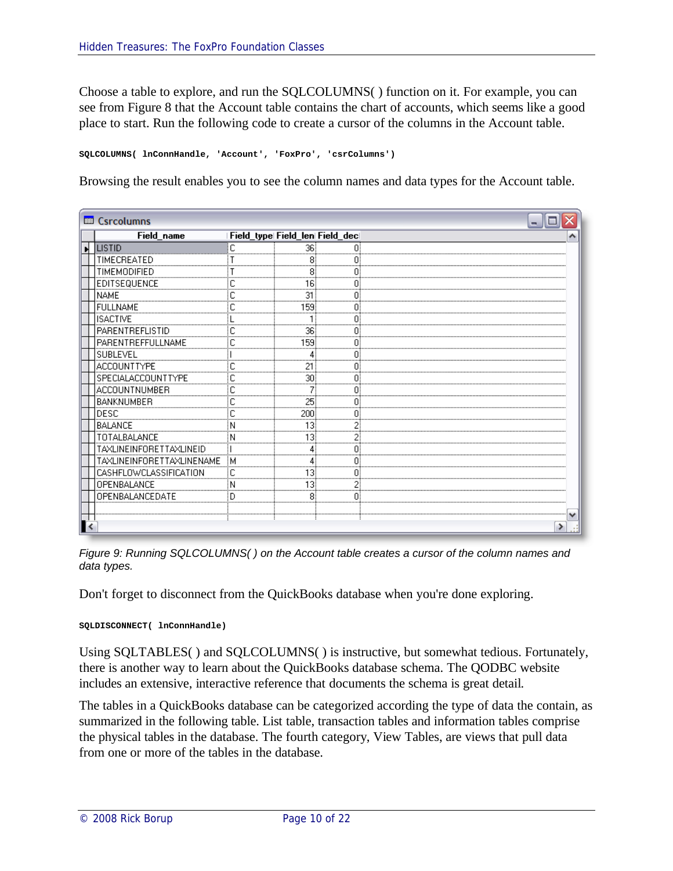Choose a table to explore, and run the SQLCOLUMNS( ) function on it. For example, you can see from Figure 8 that the Account table contains the chart of accounts, which seems like a good place to start. Run the following code to create a cursor of the columns in the Account table.

**SQLCOLUMNS( lnConnHandle, 'Account', 'FoxPro', 'csrColumns')**

Browsing the result enables you to see the column names and data types for the Account table.

| <b>ED</b> Csrcolumns      |                                |        |  |
|---------------------------|--------------------------------|--------|--|
| Field_name                | Field_type Field_len Field_dec |        |  |
| LISTID                    | С                              | 36     |  |
| TIMECREATED               |                                |        |  |
| TIMEMODIFIED              |                                | 8      |  |
| EDITSEQUENCE              |                                | 16     |  |
| <b>NAME</b>               |                                | 31     |  |
| <b>FULLNAME</b>           |                                | 159    |  |
| <b>ISACTIVE</b>           |                                |        |  |
| PARENTREFLISTID           |                                | 36<br> |  |
| PARENTREFFULLNAME         |                                | 159    |  |
| SUBLEVEL                  |                                |        |  |
| ACCOUNTTYPE               |                                | 21     |  |
| SPECIALACCOUNTTYPE        |                                | 30     |  |
| ACCOUNTNUMBER             |                                |        |  |
| BANKNUMBER                |                                | 25     |  |
| DESC                      |                                | 200    |  |
| <b>BALANCE</b>            |                                | 13     |  |
| TOTALBALANCE              | Ν                              | 13     |  |
| TAXLINEINFORETTAXLINEID   |                                |        |  |
| TAXLINEINFORETTAXLINENAME | ŧМ                             |        |  |
| CASHFLOWCLASSIFICATION    | ŧС                             |        |  |
| OPENBALANCE               | N                              | 13!    |  |
| OPENBALANCEDATE           | D                              |        |  |
|                           |                                |        |  |
|                           |                                |        |  |
|                           |                                |        |  |

*Figure 9: Running SQLCOLUMNS( ) on the Account table creates a cursor of the column names and data types.*

Don't forget to disconnect from the QuickBooks database when you're done exploring.

**SQLDISCONNECT( lnConnHandle)**

Using SQLTABLES( ) and SQLCOLUMNS( ) is instructive, but somewhat tedious. Fortunately, there is another way to learn about the QuickBooks database schema. The QODBC website includes an extensive, interactive reference that documents the schema is great detail.

The tables in a QuickBooks database can be categorized according the type of data the contain, as summarized in the following table. List table, transaction tables and information tables comprise the physical tables in the database. The fourth category, View Tables, are views that pull data from one or more of the tables in the database.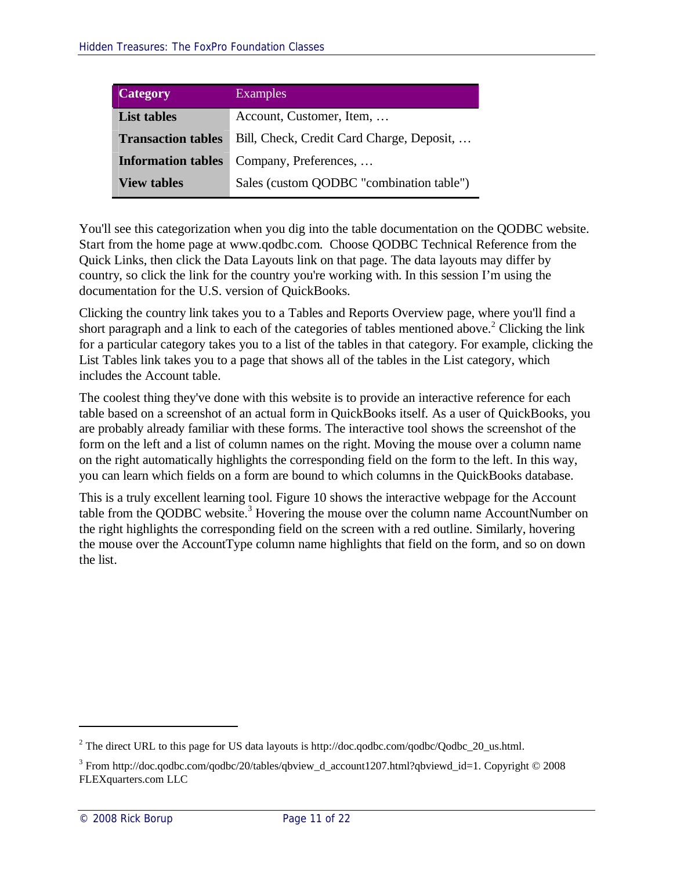| Category                  | <b>Examples</b>                           |
|---------------------------|-------------------------------------------|
| <b>List tables</b>        | Account, Customer, Item,                  |
| <b>Transaction tables</b> | Bill, Check, Credit Card Charge, Deposit, |
| <b>Information tables</b> | Company, Preferences,                     |
| <b>View tables</b>        | Sales (custom QODBC "combination table")  |

You'll see this categorization when you dig into the table documentation on the QODBC website. Start from the home page at www.qodbc.com. Choose QODBC Technical Reference from the Quick Links, then click the Data Layouts link on that page. The data layouts may differ by country, so click the link for the country you're working with. In this session I'm using the documentation for the U.S. version of QuickBooks.

Clicking the country link takes you to a Tables and Reports Overview page, where you'll find a short paragraph and a link to each of the categories of tables mentioned above.<sup>2</sup> Clicking the link for a particular category takes you to a list of the tables in that category. For example, clicking the List Tables link takes you to a page that shows all of the tables in the List category, which includes the Account table.

The coolest thing they've done with this website is to provide an interactive reference for each table based on a screenshot of an actual form in QuickBooks itself. As a user of QuickBooks, you are probably already familiar with these forms. The interactive tool shows the screenshot of the form on the left and a list of column names on the right. Moving the mouse over a column name on the right automatically highlights the corresponding field on the form to the left. In this way, you can learn which fields on a form are bound to which columns in the QuickBooks database.

This is a truly excellent learning tool. Figure 10 shows the interactive webpage for the Account table from the QODBC website.<sup>3</sup> Hovering the mouse over the column name AccountNumber on the right highlights the corresponding field on the screen with a red outline. Similarly, hovering the mouse over the AccountType column name highlights that field on the form, and so on down the list.

<sup>&</sup>lt;sup>2</sup> The direct URL to this page for US data layouts is http://doc.qodbc.com/qodbc/Qodbc\_20\_us.html.

<sup>&</sup>lt;sup>3</sup> From http://doc.qodbc.com/qodbc/20/tables/qbview\_d\_account1207.html?qbviewd\_id=1. Copyright © 2008 FLEXquarters.com LLC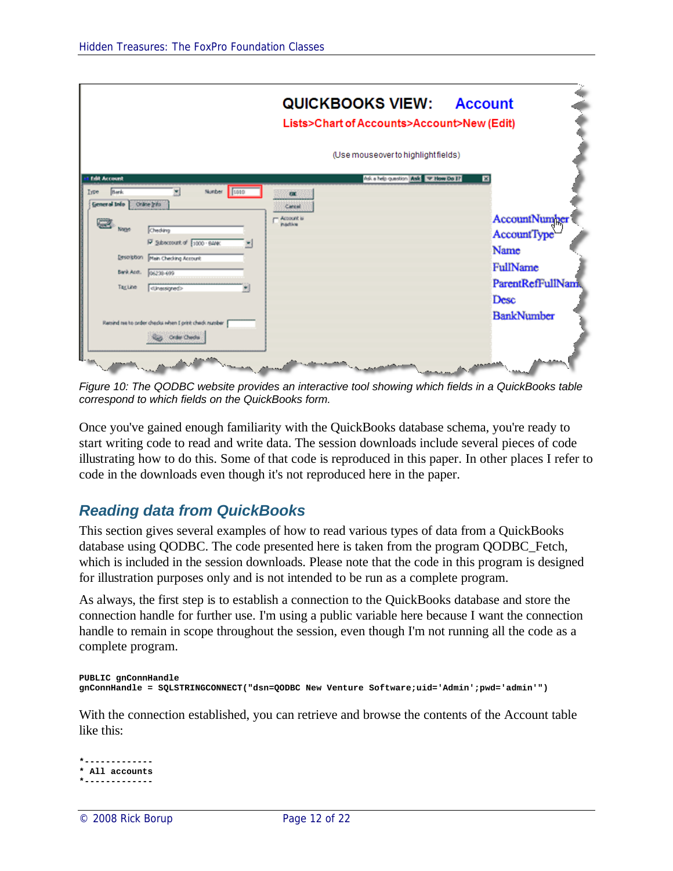|                                               |                                                                                                                                   | <b>QUICKBOOKS VIEW:</b><br>Lists>Chart of Accounts>Account>New (Edit) | <b>Account</b>                                                                       |
|-----------------------------------------------|-----------------------------------------------------------------------------------------------------------------------------------|-----------------------------------------------------------------------|--------------------------------------------------------------------------------------|
|                                               |                                                                                                                                   | (Use mouseover to highlight fields)                                   |                                                                                      |
| <b>Edit Account</b><br><b>Bark</b><br>Iype    | Number 1010                                                                                                                       | Ask a help question Ask - Phow Do 17<br>m                             | ×                                                                                    |
| General Info<br>None<br>Bank Acot.<br>TagLine | Orane Info<br>Chedáng<br>P Subscrount of 1000 BANK<br>Description Main Checking Account<br>06238-699<br><unessigned></unessigned> | Carcal<br>Account is<br><b>inactive</b>                               | AccountNumber<br>Account Type<br>Name<br>FullName<br><b>ParentRefFullNam</b><br>Desc |
|                                               | Retrard tee to prder chepks when I print check number<br>Order Chedo                                                              |                                                                       | <b>BankNumber</b>                                                                    |

*Figure 10: The QODBC website provides an interactive tool showing which fields in a QuickBooks table correspond to which fields on the QuickBooks form.*

Once you've gained enough familiarity with the QuickBooks database schema, you're ready to start writing code to read and write data. The session downloads include several pieces of code illustrating how to do this. Some of that code is reproduced in this paper. In other places I refer to code in the downloads even though it's not reproduced here in the paper.

## *Reading data from QuickBooks*

This section gives several examples of how to read various types of data from a QuickBooks database using QODBC. The code presented here is taken from the program QODBC\_Fetch, which is included in the session downloads. Please note that the code in this program is designed for illustration purposes only and is not intended to be run as a complete program.

As always, the first step is to establish a connection to the QuickBooks database and store the connection handle for further use. I'm using a public variable here because I want the connection handle to remain in scope throughout the session, even though I'm not running all the code as a complete program.

```
PUBLIC gnConnHandle
gnConnHandle = SQLSTRINGCONNECT("dsn=QODBC New Venture Software;uid='Admin';pwd='admin'")
```
With the connection established, you can retrieve and browse the contents of the Account table like this:

```
*-------------
* All accounts
*-------------
```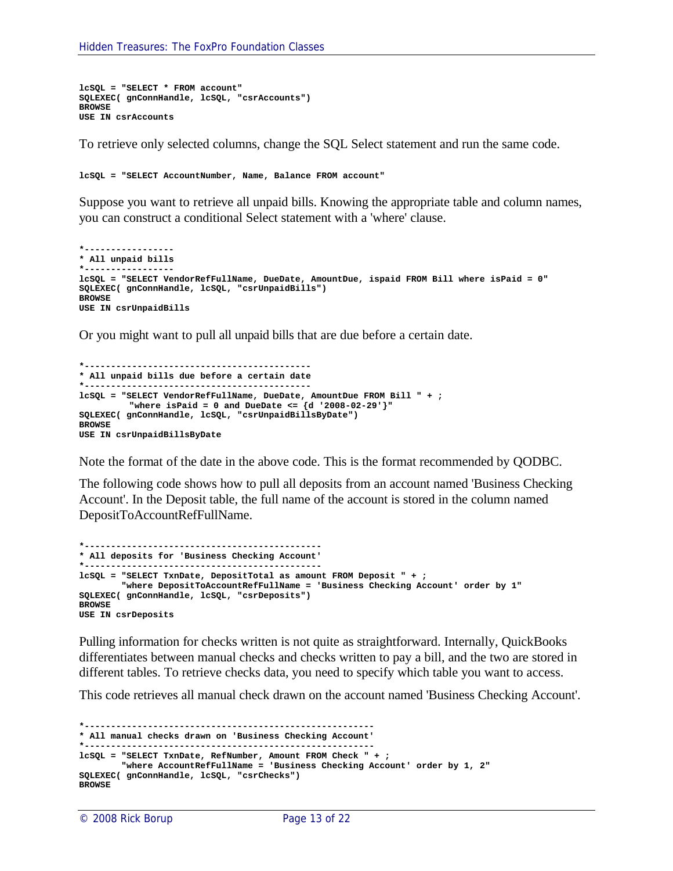```
lcSQL = "SELECT * FROM account"
SQLEXEC( gnConnHandle, lcSQL, "csrAccounts")
BROWSE
USE IN csrAccounts
```
To retrieve only selected columns, change the SQL Select statement and run the same code.

**lcSQL = "SELECT AccountNumber, Name, Balance FROM account"**

Suppose you want to retrieve all unpaid bills. Knowing the appropriate table and column names, you can construct a conditional Select statement with a 'where' clause.

```
*-----------------
* All unpaid bills
*-----------------
lcSQL = "SELECT VendorRefFullName, DueDate, AmountDue, ispaid FROM Bill where isPaid = 0"
SQLEXEC( gnConnHandle, lcSQL, "csrUnpaidBills")
BROWSE
USE IN csrUnpaidBills
```
Or you might want to pull all unpaid bills that are due before a certain date.

```
*-------------------------------------------
* All unpaid bills due before a certain date
         *-------------------------------------------
lcSQL = "SELECT VendorRefFullName, DueDate, AmountDue FROM Bill " + ;
         "where isPaid = 0 and DueDate <= {d '2008-02-29'}"
SQLEXEC( gnConnHandle, lcSQL, "csrUnpaidBillsByDate")
BROWSE
USE IN csrUnpaidBillsByDate
```
Note the format of the date in the above code. This is the format recommended by QODBC.

The following code shows how to pull all deposits from an account named 'Business Checking Account'. In the Deposit table, the full name of the account is stored in the column named DepositToAccountRefFullName.

```
*---------------------------------------------
* All deposits for 'Business Checking Account'
*---------------------------------------------
lcSQL = "SELECT TxnDate, DepositTotal as amount FROM Deposit " + ;
       "where DepositToAccountRefFullName = 'Business Checking Account' order by 1"
SQLEXEC( gnConnHandle, lcSQL, "csrDeposits")
BROWSE
USE IN csrDeposits
```
Pulling information for checks written is not quite as straightforward. Internally, QuickBooks differentiates between manual checks and checks written to pay a bill, and the two are stored in different tables. To retrieve checks data, you need to specify which table you want to access.

This code retrieves all manual check drawn on the account named 'Business Checking Account'.

```
*-------------------------------------------------------
* All manual checks drawn on 'Business Checking Account'
*-------------------------------------------------------
lcSQL = "SELECT TxnDate, RefNumber, Amount FROM Check " + ;
        "where AccountRefFullName = 'Business Checking Account' order by 1, 2"
SQLEXEC( gnConnHandle, lcSQL, "csrChecks")
BROWSE
```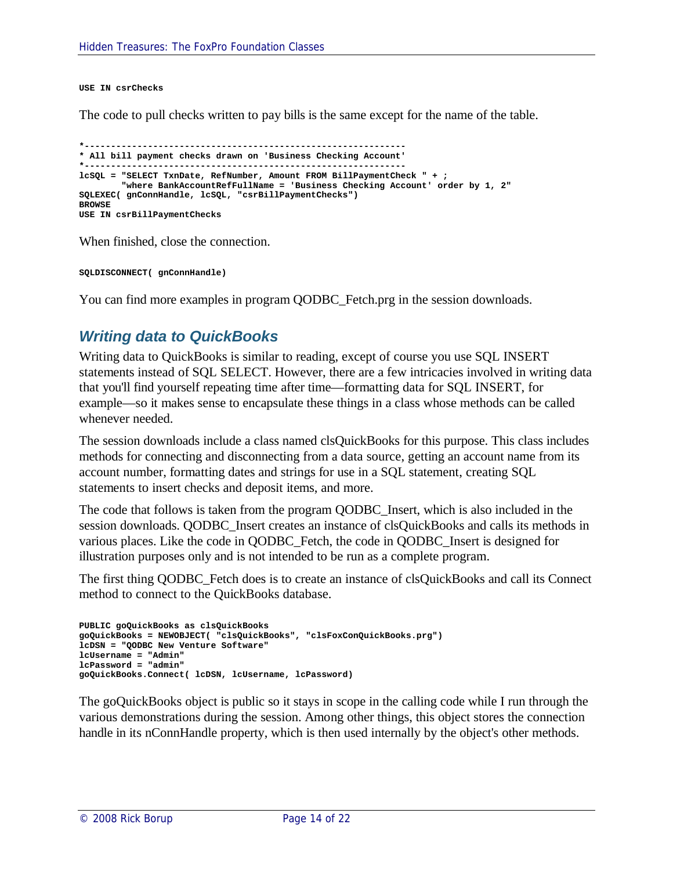**USE IN csrChecks**

The code to pull checks written to pay bills is the same except for the name of the table.

```
*-------------------------------------------------------------
* All bill payment checks drawn on 'Business Checking Account'
              *-------------------------------------------------------------
lcSQL = "SELECT TxnDate, RefNumber, Amount FROM BillPaymentCheck " + ;
        "where BankAccountRefFullName = 'Business Checking Account' order by 1, 2"
SQLEXEC( gnConnHandle, lcSQL, "csrBillPaymentChecks")
BROWSE
USE IN csrBillPaymentChecks
```
When finished, close the connection.

**SQLDISCONNECT( gnConnHandle)**

You can find more examples in program QODBC\_Fetch.prg in the session downloads.

#### *Writing data to QuickBooks*

Writing data to QuickBooks is similar to reading, except of course you use SQL INSERT statements instead of SQL SELECT. However, there are a few intricacies involved in writing data that you'll find yourself repeating time after time—formatting data for SQL INSERT, for example—so it makes sense to encapsulate these things in a class whose methods can be called whenever needed.

The session downloads include a class named clsQuickBooks for this purpose. This class includes methods for connecting and disconnecting from a data source, getting an account name from its account number, formatting dates and strings for use in a SQL statement, creating SQL statements to insert checks and deposit items, and more.

The code that follows is taken from the program QODBC\_Insert, which is also included in the session downloads. QODBC\_Insert creates an instance of clsQuickBooks and calls its methods in various places. Like the code in QODBC\_Fetch, the code in QODBC\_Insert is designed for illustration purposes only and is not intended to be run as a complete program.

The first thing QODBC\_Fetch does is to create an instance of clsQuickBooks and call its Connect method to connect to the QuickBooks database.

```
PUBLIC goQuickBooks as clsQuickBooks
goQuickBooks = NEWOBJECT( "clsQuickBooks", "clsFoxConQuickBooks.prg")
lcDSN = "QODBC New Venture Software"
lcUsername = "Admin"
lcPassword = "admin"
goQuickBooks.Connect( lcDSN, lcUsername, lcPassword)
```
The goQuickBooks object is public so it stays in scope in the calling code while I run through the various demonstrations during the session. Among other things, this object stores the connection handle in its nConnHandle property, which is then used internally by the object's other methods.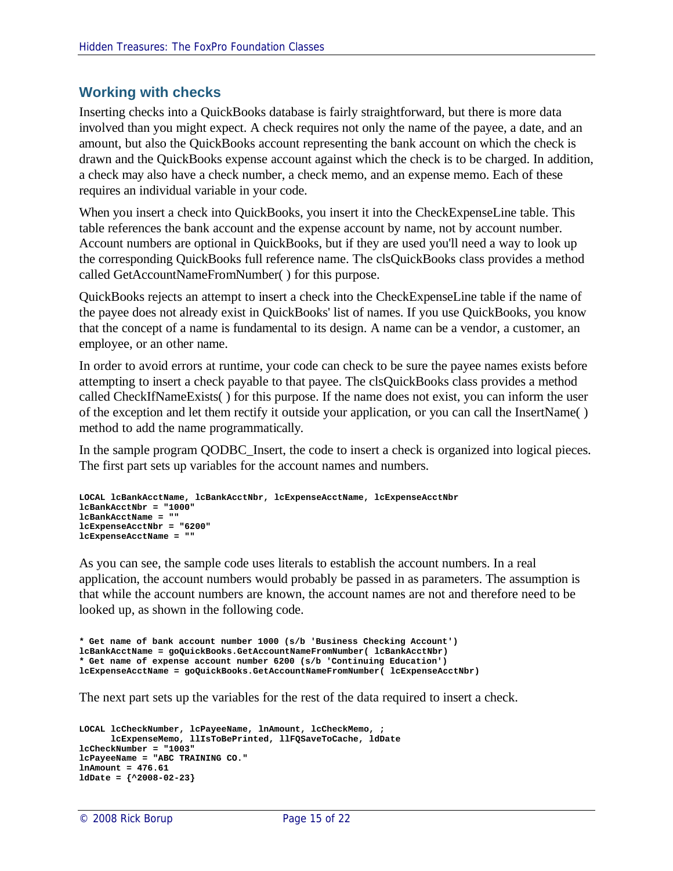#### **Working with checks**

Inserting checks into a QuickBooks database is fairly straightforward, but there is more data involved than you might expect. A check requires not only the name of the payee, a date, and an amount, but also the QuickBooks account representing the bank account on which the check is drawn and the QuickBooks expense account against which the check is to be charged. In addition, a check may also have a check number, a check memo, and an expense memo. Each of these requires an individual variable in your code.

When you insert a check into QuickBooks, you insert it into the CheckExpenseLine table. This table references the bank account and the expense account by name, not by account number. Account numbers are optional in QuickBooks, but if they are used you'll need a way to look up the corresponding QuickBooks full reference name. The clsQuickBooks class provides a method called GetAccountNameFromNumber( ) for this purpose.

QuickBooks rejects an attempt to insert a check into the CheckExpenseLine table if the name of the payee does not already exist in QuickBooks' list of names. If you use QuickBooks, you know that the concept of a name is fundamental to its design. A name can be a vendor, a customer, an employee, or an other name.

In order to avoid errors at runtime, your code can check to be sure the payee names exists before attempting to insert a check payable to that payee. The clsQuickBooks class provides a method called CheckIfNameExists( ) for this purpose. If the name does not exist, you can inform the user of the exception and let them rectify it outside your application, or you can call the InsertName( ) method to add the name programmatically.

In the sample program QODBC\_Insert, the code to insert a check is organized into logical pieces. The first part sets up variables for the account names and numbers.

```
LOCAL lcBankAcctName, lcBankAcctNbr, lcExpenseAcctName, lcExpenseAcctNbr
lcBankAcctNbr = "1000"
lcBankAcctName = ""
lcExpenseAcctNbr = "6200"
lcExpenseAcctName = ""
```
As you can see, the sample code uses literals to establish the account numbers. In a real application, the account numbers would probably be passed in as parameters. The assumption is that while the account numbers are known, the account names are not and therefore need to be looked up, as shown in the following code.

```
* Get name of bank account number 1000 (s/b 'Business Checking Account')
lcBankAcctName = goQuickBooks.GetAccountNameFromNumber( lcBankAcctNbr)
* Get name of expense account number 6200 (s/b 'Continuing Education')
lcExpenseAcctName = goQuickBooks.GetAccountNameFromNumber( lcExpenseAcctNbr)
```
The next part sets up the variables for the rest of the data required to insert a check.

```
LOCAL lcCheckNumber, lcPayeeName, lnAmount, lcCheckMemo, ;
     lcExpenseMemo, llIsToBePrinted, llFQSaveToCache, ldDate
lcCheckNumber = "1003"
lcPayeeName = "ABC TRAINING CO."
lnAmount = 476.61
ldDate = {^2008-02-23}
```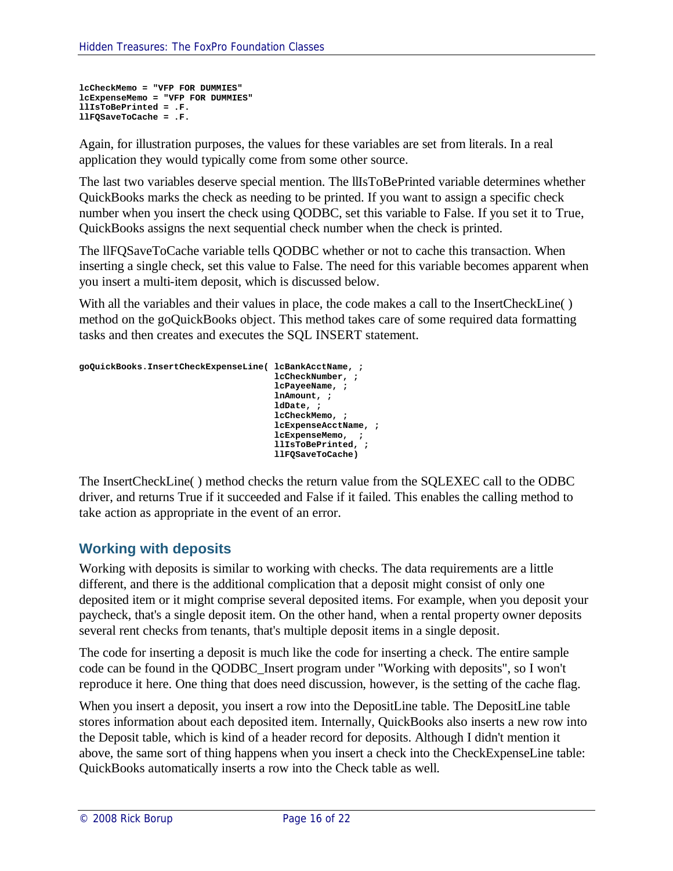```
lcCheckMemo = "VFP FOR DUMMIES"
lcExpenseMemo = "VFP FOR DUMMIES"
llIsToBePrinted = .F.
llFQSaveToCache = .F.
```
Again, for illustration purposes, the values for these variables are set from literals. In a real application they would typically come from some other source.

The last two variables deserve special mention. The llIsToBePrinted variable determines whether QuickBooks marks the check as needing to be printed. If you want to assign a specific check number when you insert the check using QODBC, set this variable to False. If you set it to True, QuickBooks assigns the next sequential check number when the check is printed.

The llFQSaveToCache variable tells QODBC whether or not to cache this transaction. When inserting a single check, set this value to False. The need for this variable becomes apparent when you insert a multi-item deposit, which is discussed below.

With all the variables and their values in place, the code makes a call to the InsertCheckLine() method on the goQuickBooks object. This method takes care of some required data formatting tasks and then creates and executes the SQL INSERT statement.

```
goQuickBooks.InsertCheckExpenseLine( lcBankAcctName, ;
                                      lcCheckNumber, ;
                                     lcPayeeName, ;
                                     lnAmount, ;
                                     ldDate, ;
                                     lcCheckMemo, ;
                                     lcExpenseAcctName, ;
                                     lcExpenseMemo, ;
                                     llIsToBePrinted, ;
                                     llFQSaveToCache)
```
The InsertCheckLine( ) method checks the return value from the SQLEXEC call to the ODBC driver, and returns True if it succeeded and False if it failed. This enables the calling method to take action as appropriate in the event of an error.

#### **Working with deposits**

Working with deposits is similar to working with checks. The data requirements are a little different, and there is the additional complication that a deposit might consist of only one deposited item or it might comprise several deposited items. For example, when you deposit your paycheck, that's a single deposit item. On the other hand, when a rental property owner deposits several rent checks from tenants, that's multiple deposit items in a single deposit.

The code for inserting a deposit is much like the code for inserting a check. The entire sample code can be found in the QODBC\_Insert program under "Working with deposits", so I won't reproduce it here. One thing that does need discussion, however, is the setting of the cache flag.

When you insert a deposit, you insert a row into the DepositLine table. The DepositLine table stores information about each deposited item. Internally, QuickBooks also inserts a new row into the Deposit table, which is kind of a header record for deposits. Although I didn't mention it above, the same sort of thing happens when you insert a check into the CheckExpenseLine table: QuickBooks automatically inserts a row into the Check table as well.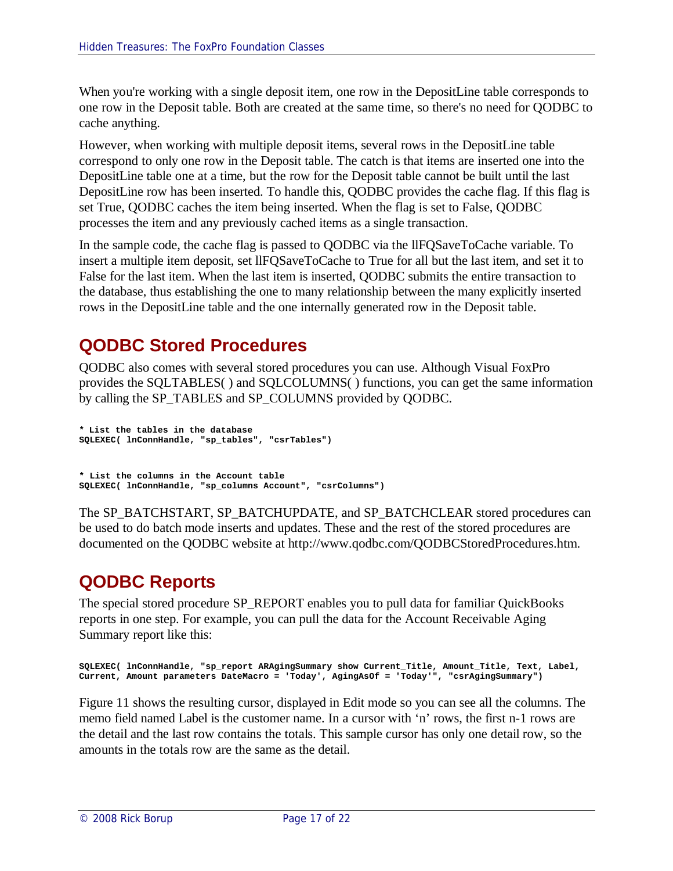When you're working with a single deposit item, one row in the DepositLine table corresponds to one row in the Deposit table. Both are created at the same time, so there's no need for QODBC to cache anything.

However, when working with multiple deposit items, several rows in the DepositLine table correspond to only one row in the Deposit table. The catch is that items are inserted one into the DepositLine table one at a time, but the row for the Deposit table cannot be built until the last DepositLine row has been inserted. To handle this, QODBC provides the cache flag. If this flag is set True, QODBC caches the item being inserted. When the flag is set to False, QODBC processes the item and any previously cached items as a single transaction.

In the sample code, the cache flag is passed to QODBC via the llFQSaveToCache variable. To insert a multiple item deposit, set llFQSaveToCache to True for all but the last item, and set it to False for the last item. When the last item is inserted, QODBC submits the entire transaction to the database, thus establishing the one to many relationship between the many explicitly inserted rows in the DepositLine table and the one internally generated row in the Deposit table.

## **QODBC Stored Procedures**

QODBC also comes with several stored procedures you can use. Although Visual FoxPro provides the SQLTABLES( ) and SQLCOLUMNS( ) functions, you can get the same information by calling the SP\_TABLES and SP\_COLUMNS provided by QODBC.

```
* List the tables in the database
SQLEXEC( lnConnHandle, "sp_tables", "csrTables")
```
**\* List the columns in the Account table SQLEXEC( lnConnHandle, "sp\_columns Account", "csrColumns")**

The SP\_BATCHSTART, SP\_BATCHUPDATE, and SP\_BATCHCLEAR stored procedures can be used to do batch mode inserts and updates. These and the rest of the stored procedures are documented on the QODBC website at http://www.qodbc.com/QODBCStoredProcedures.htm.

# **QODBC Reports**

The special stored procedure SP\_REPORT enables you to pull data for familiar QuickBooks reports in one step. For example, you can pull the data for the Account Receivable Aging Summary report like this:

```
SQLEXEC( lnConnHandle, "sp_report ARAgingSummary show Current_Title, Amount_Title, Text, Label, 
Current, Amount parameters DateMacro = 'Today', AgingAsOf = 'Today'", "csrAgingSummary")
```
Figure 11 shows the resulting cursor, displayed in Edit mode so you can see all the columns. The memo field named Label is the customer name. In a cursor with 'n' rows, the first n-1 rows are the detail and the last row contains the totals. This sample cursor has only one detail row, so the amounts in the totals row are the same as the detail.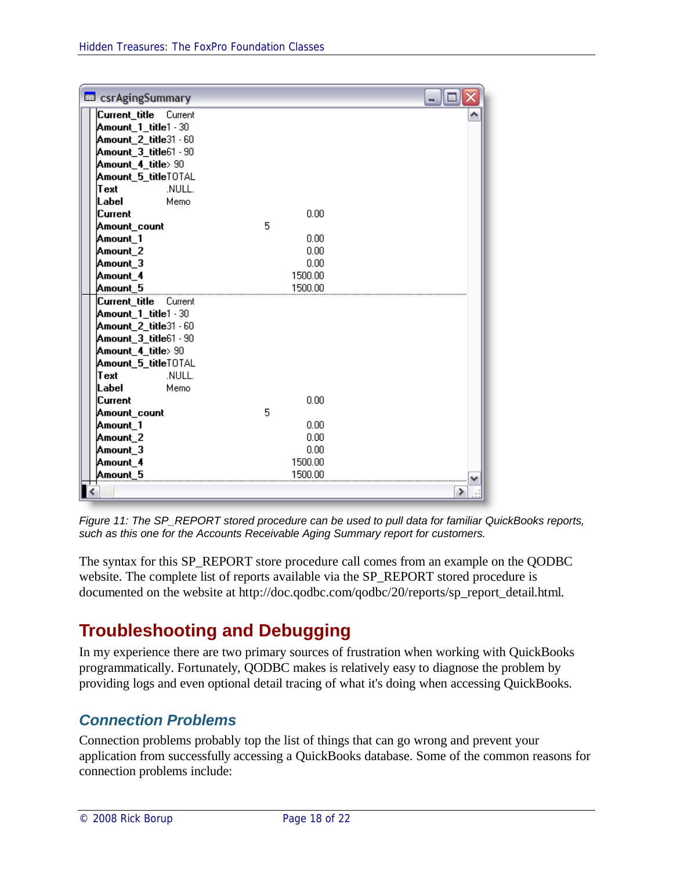| <b>EEP</b> csrAgingSummary |         |   |
|----------------------------|---------|---|
| Current_title Current      |         |   |
| Amount_1_title1 - 30       |         |   |
| Amount_2_title31 - 60      |         |   |
| Amount_3_title61 - 90      |         |   |
| Amount_4_title> 90         |         |   |
| Amount_5_titleTOTAL        |         |   |
| NULL.<br>Text              |         |   |
| Memo<br>Label              |         |   |
| Current                    | 0.00    |   |
| Amount_count               | 5       |   |
| Amount_1                   | 0.00    |   |
| Amount_2                   | 0.00    |   |
| Amount 3                   | 0.00    |   |
| Amount_4                   | 1500.00 |   |
| Amount 5                   | 1500.00 |   |
| Current_title<br>Current   |         |   |
| Amount_1_title1 - 30       |         |   |
| Amount_2_title31 - 60      |         |   |
| Amount_3_title61 - 90      |         |   |
| Amount_4_title>90          |         |   |
| Amount_5_titleTOTAL        |         |   |
| .NULL.<br>Text             |         |   |
| Memo<br>Label              |         |   |
| Current                    | 0.00    |   |
| Amount_count               | 5       |   |
| Amount_1                   | 0.00    |   |
| Amount_2                   | 0.00    |   |
| Amount_3                   | 0.00    |   |
| Amount_4                   | 1500.00 |   |
| Amount 5                   | 1500.00 |   |
|                            |         | ⋟ |

*Figure 11: The SP\_REPORT stored procedure can be used to pull data for familiar QuickBooks reports, such as this one for the Accounts Receivable Aging Summary report for customers.*

The syntax for this SP\_REPORT store procedure call comes from an example on the QODBC website. The complete list of reports available via the SP\_REPORT stored procedure is documented on the website at http://doc.qodbc.com/qodbc/20/reports/sp\_report\_detail.html.

# **Troubleshooting and Debugging**

In my experience there are two primary sources of frustration when working with QuickBooks programmatically. Fortunately, QODBC makes is relatively easy to diagnose the problem by providing logs and even optional detail tracing of what it's doing when accessing QuickBooks.

## *Connection Problems*

Connection problems probably top the list of things that can go wrong and prevent your application from successfully accessing a QuickBooks database. Some of the common reasons for connection problems include: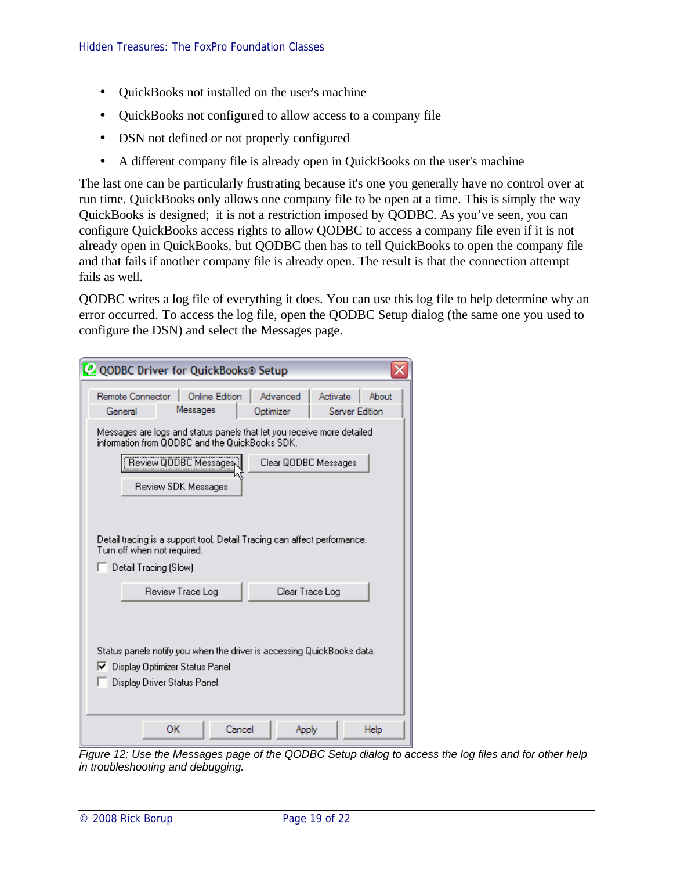- OuickBooks not installed on the user's machine
- OuickBooks not configured to allow access to a company file
- DSN not defined or not properly configured
- A different company file is already open in QuickBooks on the user's machine

The last one can be particularly frustrating because it's one you generally have no control over at run time. QuickBooks only allows one company file to be open at a time. This is simply the way QuickBooks is designed; it is not a restriction imposed by QODBC. As you've seen, you can configure QuickBooks access rights to allow QODBC to access a company file even if it is not already open in QuickBooks, but QODBC then has to tell QuickBooks to open the company file and that fails if another company file is already open. The result is that the connection attempt fails as well.

QODBC writes a log file of everything it does. You can use this log file to help determine why an error occurred. To access the log file, open the QODBC Setup dialog (the same one you used to configure the DSN) and select the Messages page.

| <b>@ QODBC Driver for QuickBooks® Setup</b>                                                                                               |                                                                          |                       |          |                         |  |  |
|-------------------------------------------------------------------------------------------------------------------------------------------|--------------------------------------------------------------------------|-----------------------|----------|-------------------------|--|--|
| Remote Connector<br>Messages<br>General                                                                                                   | <b>Online Edition</b>                                                    | Advanced<br>Optimizer | Activate | About<br>Server Edition |  |  |
| Messages are logs and status panels that let you receive more detailed.<br>information from QODBC and the QuickBooks SDK.                 |                                                                          |                       |          |                         |  |  |
| Review QODBC Messages<br>Review SDK Messages                                                                                              |                                                                          | Clear QODBC Messages  |          |                         |  |  |
| Turn off when not required.<br>Detail Tracing (Slow)                                                                                      | Detail tracing is a support tool. Detail Tracing can affect performance. |                       |          |                         |  |  |
| Review Trace Log                                                                                                                          |                                                                          | Clear Trace Log       |          |                         |  |  |
| Status panels notify you when the driver is accessing QuickBooks data.<br>Ⅳ Display Optimizer Status Panel<br>Display Driver Status Panel |                                                                          |                       |          |                         |  |  |
| ОК                                                                                                                                        | Cancel                                                                   | Apply                 |          | Help                    |  |  |

*Figure 12: Use the Messages page of the QODBC Setup dialog to access the log files and for other help in troubleshooting and debugging.*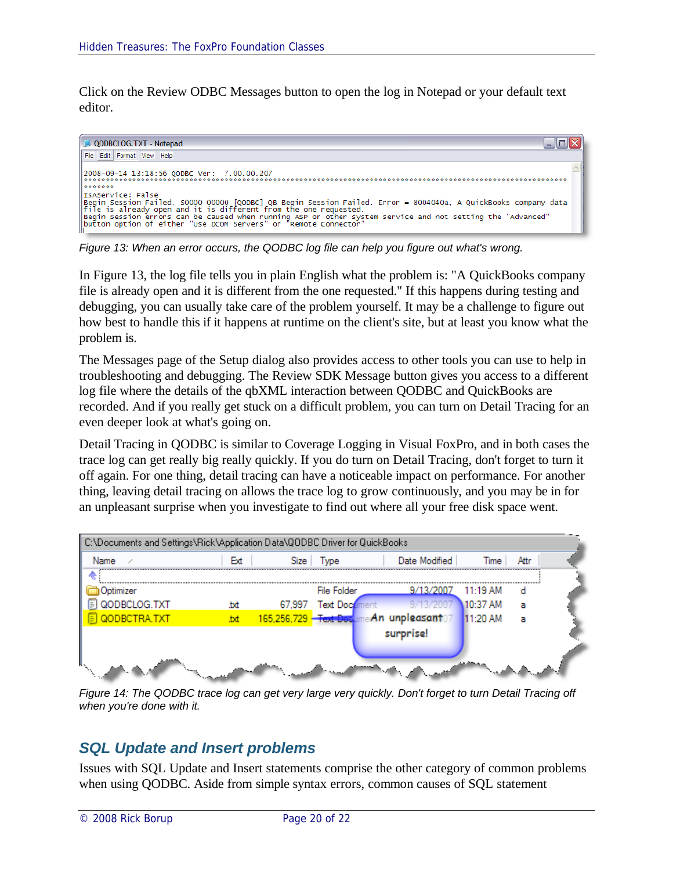Click on the Review ODBC Messages button to open the log in Notepad or your default text editor.



*Figure 13: When an error occurs, the QODBC log file can help you figure out what's wrong.*

In Figure 13, the log file tells you in plain English what the problem is: "A QuickBooks company file is already open and it is different from the one requested." If this happens during testing and debugging, you can usually take care of the problem yourself. It may be a challenge to figure out how best to handle this if it happens at runtime on the client's site, but at least you know what the problem is.

The Messages page of the Setup dialog also provides access to other tools you can use to help in troubleshooting and debugging. The Review SDK Message button gives you access to a different log file where the details of the qbXML interaction between QODBC and QuickBooks are recorded. And if you really get stuck on a difficult problem, you can turn on Detail Tracing for an even deeper look at what's going on.

Detail Tracing in QODBC is similar to Coverage Logging in Visual FoxPro, and in both cases the trace log can get really big really quickly. If you do turn on Detail Tracing, don't forget to turn it off again. For one thing, detail tracing can have a noticeable impact on performance. For another thing, leaving detail tracing on allows the trace log to grow continuously, and you may be in for an unpleasant surprise when you investigate to find out where all your free disk space went.

| C:\Documents and Settings\Rick\Application Data\QODBC Driver for QuickBooks |           |        |               |                                       |            |      |  |
|-----------------------------------------------------------------------------|-----------|--------|---------------|---------------------------------------|------------|------|--|
| Name                                                                        | Ext       |        | Size Type     | Date Modified                         | Time       | Attr |  |
|                                                                             |           |        |               |                                       |            |      |  |
| <b>Jotimizer</b>                                                            |           |        | File Folder   | 9/13/2007                             | $11:19$ AM |      |  |
| QODBCLOG.TXT                                                                | .txt      | 67.997 | Text Document | 9/13/2007                             | 10:37 AM   | а    |  |
| QODBCTRA.TXT                                                                | <b>bd</b> |        |               | 165,256,729 Text Docume An unpleasant | 11:20 AM   | а    |  |
|                                                                             |           |        |               | surprise!                             |            |      |  |
|                                                                             |           |        |               |                                       |            |      |  |
|                                                                             |           |        |               |                                       |            |      |  |
|                                                                             |           |        |               |                                       |            |      |  |

*Figure 14: The QODBC trace log can get very large very quickly. Don't forget to turn Detail Tracing off when you're done with it.*

## *SQL Update and Insert problems*

Issues with SQL Update and Insert statements comprise the other category of common problems when using QODBC. Aside from simple syntax errors, common causes of SQL statement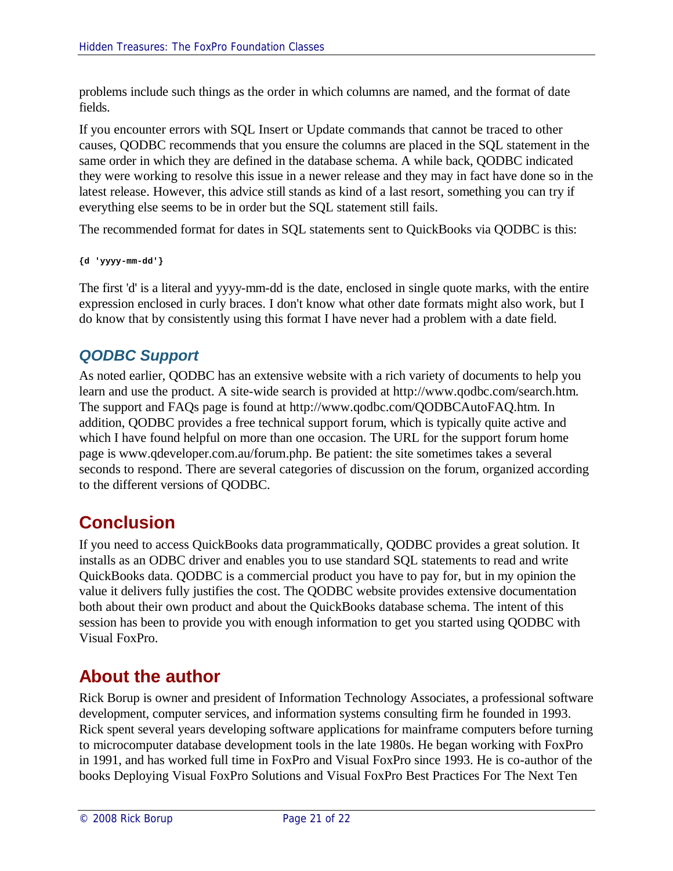problems include such things as the order in which columns are named, and the format of date fields.

If you encounter errors with SQL Insert or Update commands that cannot be traced to other causes, QODBC recommends that you ensure the columns are placed in the SQL statement in the same order in which they are defined in the database schema. A while back, QODBC indicated they were working to resolve this issue in a newer release and they may in fact have done so in the latest release. However, this advice still stands as kind of a last resort, something you can try if everything else seems to be in order but the SQL statement still fails.

The recommended format for dates in SQL statements sent to QuickBooks via QODBC is this:

**{d 'yyyy-mm-dd'}**

The first 'd' is a literal and yyyy-mm-dd is the date, enclosed in single quote marks, with the entire expression enclosed in curly braces. I don't know what other date formats might also work, but I do know that by consistently using this format I have never had a problem with a date field.

## *QODBC Support*

As noted earlier, QODBC has an extensive website with a rich variety of documents to help you learn and use the product. A site-wide search is provided at http://www.qodbc.com/search.htm. The support and FAQs page is found at http://www.qodbc.com/QODBCAutoFAQ.htm. In addition, QODBC provides a free technical support forum, which is typically quite active and which I have found helpful on more than one occasion. The URL for the support forum home page is www.qdeveloper.com.au/forum.php. Be patient: the site sometimes takes a several seconds to respond. There are several categories of discussion on the forum, organized according to the different versions of QODBC.

# **Conclusion**

If you need to access QuickBooks data programmatically, QODBC provides a great solution. It installs as an ODBC driver and enables you to use standard SQL statements to read and write QuickBooks data. QODBC is a commercial product you have to pay for, but in my opinion the value it delivers fully justifies the cost. The QODBC website provides extensive documentation both about their own product and about the QuickBooks database schema. The intent of this session has been to provide you with enough information to get you started using QODBC with Visual FoxPro.

# **About the author**

Rick Borup is owner and president of Information Technology Associates, a professional software development, computer services, and information systems consulting firm he founded in 1993. Rick spent several years developing software applications for mainframe computers before turning to microcomputer database development tools in the late 1980s. He began working with FoxPro in 1991, and has worked full time in FoxPro and Visual FoxPro since 1993. He is co-author of the books Deploying Visual FoxPro Solutions and Visual FoxPro Best Practices For The Next Ten